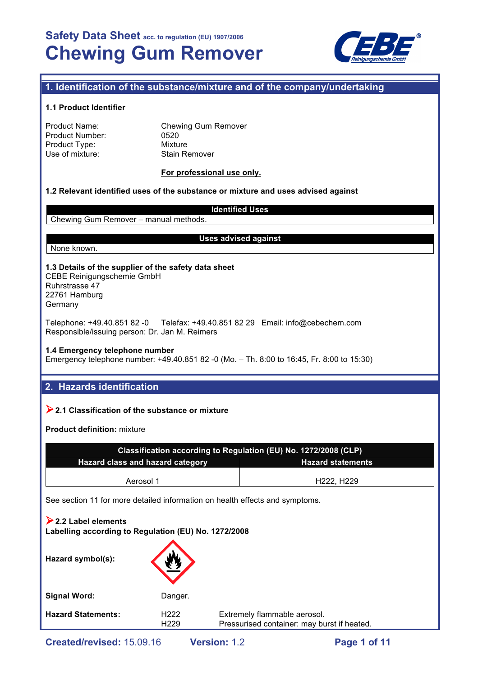

## **1. Identification of the substance/mixture and of the company/undertaking**

## **1.1 Product Identifier**

| Product Name:   |  |
|-----------------|--|
| Product Number: |  |
| Product Type:   |  |
| Use of mixture: |  |

Chewing Gum Remover 0520 **Mixture** Stain Remover

## **For professional use only.**

## **1.2 Relevant identified uses of the substance or mixture and uses advised against**

## **Identified Uses**

Chewing Gum Remover – manual methods.

## **Uses advised against**

None known.

**1.3 Details of the supplier of the safety data sheet** CEBE Reinigungschemie GmbH Ruhrstrasse 47 22761 Hamburg Germany

Telephone: +49.40.851 82 -0 Telefax: +49.40.851 82 29 Email: info@cebechem.com Responsible/issuing person: Dr. Jan M. Reimers

## **1.4 Emergency telephone number**

Emergency telephone number: +49.40.851 82 -0 (Mo. – Th. 8:00 to 16:45, Fr. 8:00 to 15:30)

## **2. Hazards identification**

## !**2.1 Classification of the substance or mixture**

**Product definition:** mixture

| Classification according to Regulation (EU) No. 1272/2008 (CLP) |                                     |  |  |  |
|-----------------------------------------------------------------|-------------------------------------|--|--|--|
| Hazard class and hazard category<br><b>Hazard statements</b>    |                                     |  |  |  |
| Aerosol 1                                                       | H <sub>222</sub> . H <sub>229</sub> |  |  |  |
|                                                                 |                                     |  |  |  |

See section 11 for more detailed information on health effects and symptoms.

| $\geq$ 2.2 Label elements<br>Labelling according to Regulation (EU) No. 1272/2008 |                                      |                                                                             |
|-----------------------------------------------------------------------------------|--------------------------------------|-----------------------------------------------------------------------------|
| Hazard symbol(s):                                                                 |                                      |                                                                             |
| <b>Signal Word:</b>                                                               | Danger.                              |                                                                             |
| <b>Hazard Statements:</b>                                                         | H <sub>222</sub><br>H <sub>229</sub> | Extremely flammable aerosol.<br>Pressurised container: may burst if heated. |
|                                                                                   |                                      |                                                                             |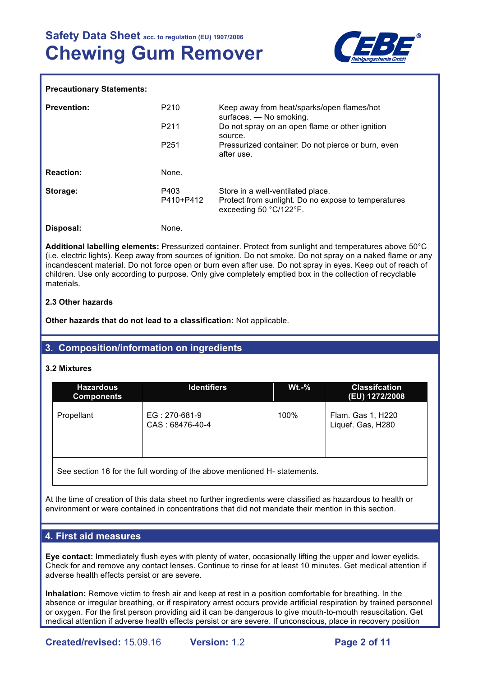

## **Precautionary Statements:**

| <b>Prevention:</b> | P210<br>P <sub>211</sub><br>P <sub>251</sub> | Keep away from heat/sparks/open flames/hot<br>surfaces. - No smoking.<br>Do not spray on an open flame or other ignition<br>source.<br>Pressurized container: Do not pierce or burn, even<br>after use. |
|--------------------|----------------------------------------------|---------------------------------------------------------------------------------------------------------------------------------------------------------------------------------------------------------|
| <b>Reaction:</b>   | None.                                        |                                                                                                                                                                                                         |
| Storage:           | P403<br>P410+P412                            | Store in a well-ventilated place.<br>Protect from sunlight. Do no expose to temperatures<br>exceeding 50 °C/122°F.                                                                                      |
| Disposal:          | None.                                        |                                                                                                                                                                                                         |

**Additional labelling elements:** Pressurized container. Protect from sunlight and temperatures above 50°C (i.e. electric lights). Keep away from sources of ignition. Do not smoke. Do not spray on a naked flame or any incandescent material. Do not force open or burn even after use. Do not spray in eyes. Keep out of reach of children. Use only according to purpose. Only give completely emptied box in the collection of recyclable materials.

## **2.3 Other hazards**

**Other hazards that do not lead to a classification:** Not applicable.

## **3. Composition/information on ingredients**

### **3.2 Mixtures**

| <b>Hazardous</b><br><b>Components</b> | <b>Identifiers</b>               | $Wt.-%$ | <b>Classification</b><br>(EU) 1272/2008 |
|---------------------------------------|----------------------------------|---------|-----------------------------------------|
| Propellant                            | EG: 270-681-9<br>CAS: 68476-40-4 | 100%    | Flam. Gas 1, H220<br>Liquef. Gas, H280  |

See section 16 for the full wording of the above mentioned H- statements.

At the time of creation of this data sheet no further ingredients were classified as hazardous to health or environment or were contained in concentrations that did not mandate their mention in this section.

## **4. First aid measures**

**Eye contact:** Immediately flush eyes with plenty of water, occasionally lifting the upper and lower eyelids. Check for and remove any contact lenses. Continue to rinse for at least 10 minutes. Get medical attention if adverse health effects persist or are severe.

**Inhalation:** Remove victim to fresh air and keep at rest in a position comfortable for breathing. In the absence or irregular breathing, or if respiratory arrest occurs provide artificial respiration by trained personnel or oxygen. For the first person providing aid it can be dangerous to give mouth-to-mouth resuscitation. Get medical attention if adverse health effects persist or are severe. If unconscious, place in recovery position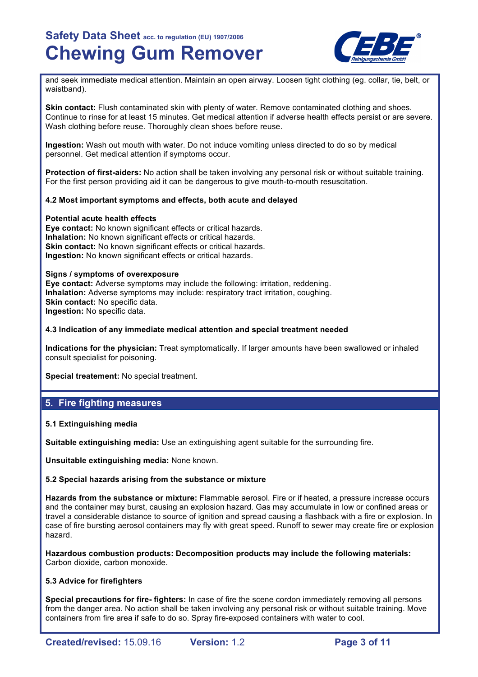

and seek immediate medical attention. Maintain an open airway. Loosen tight clothing (eg. collar, tie, belt, or waistband).

**Skin contact:** Flush contaminated skin with plenty of water. Remove contaminated clothing and shoes. Continue to rinse for at least 15 minutes. Get medical attention if adverse health effects persist or are severe. Wash clothing before reuse. Thoroughly clean shoes before reuse.

**Ingestion:** Wash out mouth with water. Do not induce vomiting unless directed to do so by medical personnel. Get medical attention if symptoms occur.

**Protection of first-aiders:** No action shall be taken involving any personal risk or without suitable training. For the first person providing aid it can be dangerous to give mouth-to-mouth resuscitation.

## **4.2 Most important symptoms and effects, both acute and delayed**

### **Potential acute health effects**

**Eye contact:** No known significant effects or critical hazards. **Inhalation:** No known significant effects or critical hazards. **Skin contact:** No known significant effects or critical hazards. **Ingestion:** No known significant effects or critical hazards.

## **Signs / symptoms of overexposure**

**Eye contact:** Adverse symptoms may include the following: irritation, reddening. **Inhalation:** Adverse symptoms may include: respiratory tract irritation, coughing. **Skin contact: No specific data. Ingestion:** No specific data.

### **4.3 Indication of any immediate medical attention and special treatment needed**

**Indications for the physician:** Treat symptomatically. If larger amounts have been swallowed or inhaled consult specialist for poisoning.

**Special treatement:** No special treatment.

## **5. Fire fighting measures**

### **5.1 Extinguishing media**

**Suitable extinguishing media:** Use an extinguishing agent suitable for the surrounding fire.

**Unsuitable extinguishing media:** None known.

## **5.2 Special hazards arising from the substance or mixture**

**Hazards from the substance or mixture:** Flammable aerosol. Fire or if heated, a pressure increase occurs and the container may burst, causing an explosion hazard. Gas may accumulate in low or confined areas or travel a considerable distance to source of ignition and spread causing a flashback with a fire or explosion. In case of fire bursting aerosol containers may fly with great speed. Runoff to sewer may create fire or explosion hazard.

**Hazardous combustion products: Decomposition products may include the following materials:**  Carbon dioxide, carbon monoxide.

## **5.3 Advice for firefighters**

**Special precautions for fire- fighters:** In case of fire the scene cordon immediately removing all persons from the danger area. No action shall be taken involving any personal risk or without suitable training. Move containers from fire area if safe to do so. Spray fire-exposed containers with water to cool.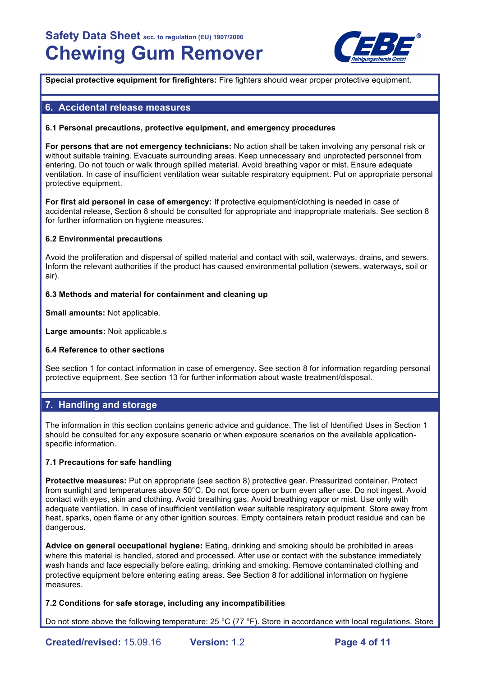

**Special protective equipment for firefighters:** Fire fighters should wear proper protective equipment.

## **6. Accidental release measures**

### **6.1 Personal precautions, protective equipment, and emergency procedures**

**For persons that are not emergency technicians:** No action shall be taken involving any personal risk or without suitable training. Evacuate surrounding areas. Keep unnecessary and unprotected personnel from entering. Do not touch or walk through spilled material. Avoid breathing vapor or mist. Ensure adequate ventilation. In case of insufficient ventilation wear suitable respiratory equipment. Put on appropriate personal protective equipment.

**For first aid personel in case of emergency:** If protective equipment/clothing is needed in case of accidental release, Section 8 should be consulted for appropriate and inappropriate materials. See section 8 for further information on hygiene measures.

### **6.2 Environmental precautions**

Avoid the proliferation and dispersal of spilled material and contact with soil, waterways, drains, and sewers. Inform the relevant authorities if the product has caused environmental pollution (sewers, waterways, soil or air).

## **6.3 Methods and material for containment and cleaning up**

**Small amounts:** Not applicable.

**Large amounts:** Noit applicable.s

### **6.4 Reference to other sections**

See section 1 for contact information in case of emergency. See section 8 for information regarding personal protective equipment. See section 13 for further information about waste treatment/disposal.

## **7. Handling and storage**

The information in this section contains generic advice and guidance. The list of Identified Uses in Section 1 should be consulted for any exposure scenario or when exposure scenarios on the available applicationspecific information.

### **7.1 Precautions for safe handling**

**Protective measures:** Put on appropriate (see section 8) protective gear. Pressurized container. Protect from sunlight and temperatures above 50°C. Do not force open or burn even after use. Do not ingest. Avoid contact with eyes, skin and clothing. Avoid breathing gas. Avoid breathing vapor or mist. Use only with adequate ventilation. In case of insufficient ventilation wear suitable respiratory equipment. Store away from heat, sparks, open flame or any other ignition sources. Empty containers retain product residue and can be dangerous.

**Advice on general occupational hygiene:** Eating, drinking and smoking should be prohibited in areas where this material is handled, stored and processed. After use or contact with the substance immediately wash hands and face especially before eating, drinking and smoking. Remove contaminated clothing and protective equipment before entering eating areas. See Section 8 for additional information on hygiene measures.

### **7.2 Conditions for safe storage, including any incompatibilities**

Do not store above the following temperature: 25 °C (77 °F). Store in accordance with local regulations. Store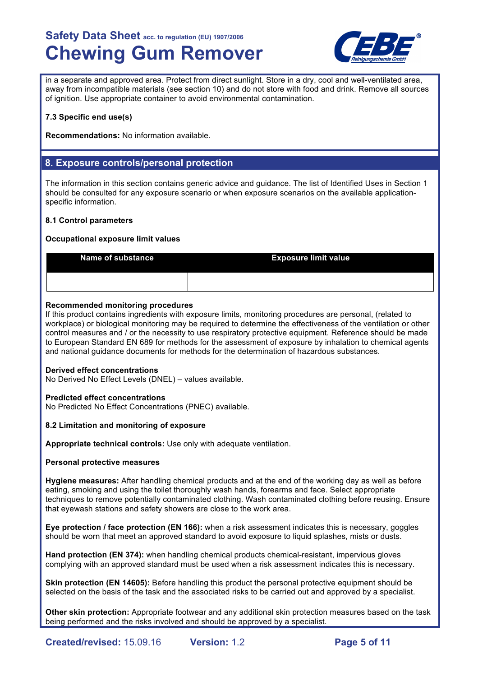

in a separate and approved area. Protect from direct sunlight. Store in a dry, cool and well-ventilated area, away from incompatible materials (see section 10) and do not store with food and drink. Remove all sources of ignition. Use appropriate container to avoid environmental contamination.

## **7.3 Specific end use(s)**

**Recommendations:** No information available.

## **8. Exposure controls/personal protection**

The information in this section contains generic advice and guidance. The list of Identified Uses in Section 1 should be consulted for any exposure scenario or when exposure scenarios on the available applicationspecific information.

## **8.1 Control parameters**

## **Occupational exposure limit values**

| <b>Name of substance</b> | <b>Exposure limit value</b> |
|--------------------------|-----------------------------|
|                          |                             |

## **Recommended monitoring procedures**

If this product contains ingredients with exposure limits, monitoring procedures are personal, (related to workplace) or biological monitoring may be required to determine the effectiveness of the ventilation or other control measures and / or the necessity to use respiratory protective equipment. Reference should be made to European Standard EN 689 for methods for the assessment of exposure by inhalation to chemical agents and national guidance documents for methods for the determination of hazardous substances.

## **Derived effect concentrations**

No Derived No Effect Levels (DNEL) – values available.

## **Predicted effect concentrations**

No Predicted No Effect Concentrations (PNEC) available.

## **8.2 Limitation and monitoring of exposure**

**Appropriate technical controls:** Use only with adequate ventilation.

## **Personal protective measures**

**Hygiene measures:** After handling chemical products and at the end of the working day as well as before eating, smoking and using the toilet thoroughly wash hands, forearms and face. Select appropriate techniques to remove potentially contaminated clothing. Wash contaminated clothing before reusing. Ensure that eyewash stations and safety showers are close to the work area.

**Eye protection / face protection (EN 166):** when a risk assessment indicates this is necessary, goggles should be worn that meet an approved standard to avoid exposure to liquid splashes, mists or dusts.

**Hand protection (EN 374):** when handling chemical products chemical-resistant, impervious gloves complying with an approved standard must be used when a risk assessment indicates this is necessary.

**Skin protection (EN 14605):** Before handling this product the personal protective equipment should be selected on the basis of the task and the associated risks to be carried out and approved by a specialist.

**Other skin protection:** Appropriate footwear and any additional skin protection measures based on the task being performed and the risks involved and should be approved by a specialist.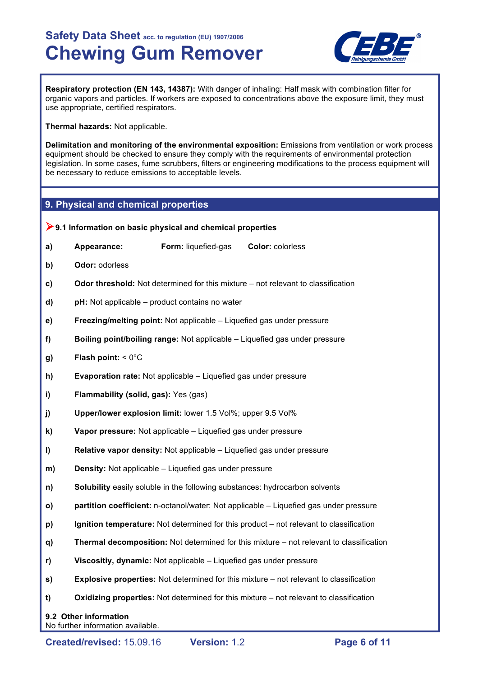

**Respiratory protection (EN 143, 14387):** With danger of inhaling: Half mask with combination filter for organic vapors and particles. If workers are exposed to concentrations above the exposure limit, they must use appropriate, certified respirators.

**Thermal hazards:** Not applicable.

**Delimitation and monitoring of the environmental exposition:** Emissions from ventilation or work process equipment should be checked to ensure they comply with the requirements of environmental protection legislation. In some cases, fume scrubbers, filters or engineering modifications to the process equipment will be necessary to reduce emissions to acceptable levels.

## **9. Physical and chemical properties**

|    | $\triangleright$ 9.1 Information on basic physical and chemical properties |                     |                                                                                         |
|----|----------------------------------------------------------------------------|---------------------|-----------------------------------------------------------------------------------------|
| a) | Appearance:                                                                | Form: liquefied-gas | Color: colorless                                                                        |
| b) | Odor: odorless                                                             |                     |                                                                                         |
| c) |                                                                            |                     | <b>Odor threshold:</b> Not determined for this mixture – not relevant to classification |
| d) | pH: Not applicable – product contains no water                             |                     |                                                                                         |
| e) | Freezing/melting point: Not applicable – Liquefied gas under pressure      |                     |                                                                                         |
| f) |                                                                            |                     | Boiling point/boiling range: Not applicable - Liquefied gas under pressure              |
| g) | Flash point: $< 0^{\circ}$ C                                               |                     |                                                                                         |
| h) | <b>Evaporation rate:</b> Not applicable - Liquefied gas under pressure     |                     |                                                                                         |
| i) | Flammability (solid, gas): Yes (gas)                                       |                     |                                                                                         |
| j) | Upper/lower explosion limit: lower 1.5 Vol%; upper 9.5 Vol%                |                     |                                                                                         |
| k) | Vapor pressure: Not applicable - Liquefied gas under pressure              |                     |                                                                                         |
| I) | Relative vapor density: Not applicable - Liquefied gas under pressure      |                     |                                                                                         |
| m) | <b>Density:</b> Not applicable - Liquefied gas under pressure              |                     |                                                                                         |
| n) |                                                                            |                     | Solubility easily soluble in the following substances: hydrocarbon solvents             |
| O) |                                                                            |                     | partition coefficient: n-octanol/water: Not applicable - Liquefied gas under pressure   |
| p) |                                                                            |                     | Ignition temperature: Not determined for this product – not relevant to classification  |
| q) |                                                                            |                     | Thermal decomposition: Not determined for this mixture - not relevant to classification |
| r) | Viscositiy, dynamic: Not applicable - Liquefied gas under pressure         |                     |                                                                                         |
| s) |                                                                            |                     | Explosive properties: Not determined for this mixture - not relevant to classification  |
| t) |                                                                            |                     | Oxidizing properties: Not determined for this mixture – not relevant to classification  |
|    | 9.2 Other information<br>No further information available.                 |                     |                                                                                         |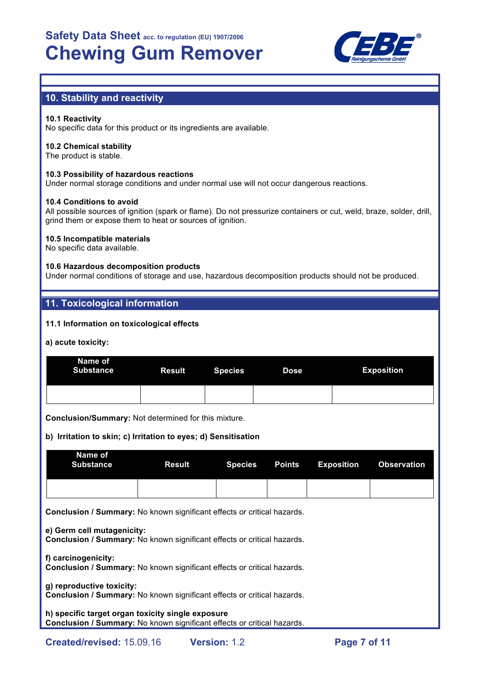

## **10. Stability and reactivity**

## **10.1 Reactivity**

No specific data for this product or its ingredients are available.

### **10.2 Chemical stability**

The product is stable.

## **10.3 Possibility of hazardous reactions**

Under normal storage conditions and under normal use will not occur dangerous reactions.

### **10.4 Conditions to avoid**

All possible sources of ignition (spark or flame). Do not pressurize containers or cut, weld, braze, solder, drill, grind them or expose them to heat or sources of ignition.

## **10.5 Incompatible materials**

No specific data available.

## **10.6 Hazardous decomposition products**

Under normal conditions of storage and use, hazardous decomposition products should not be produced.

## **11. Toxicological information**

## **11.1 Information on toxicological effects**

### **a) acute toxicity:**

| Name of<br><b>Substance</b> | Result Species | <b>Dose</b> | <b>Exposition</b> |
|-----------------------------|----------------|-------------|-------------------|
|                             |                |             |                   |

**Conclusion/Summary:** Not determined for this mixture.

## **b) Irritation to skin; c) Irritation to eyes; d) Sensitisation**

| Name of<br>Substance |  | <b>Result Species Points Exposition Observation</b> |  |
|----------------------|--|-----------------------------------------------------|--|
|                      |  |                                                     |  |

**Conclusion / Summary:** No known significant effects or critical hazards.

**e) Germ cell mutagenicity:**

**Conclusion / Summary:** No known significant effects or critical hazards.

**f) carcinogenicity: Conclusion / Summary:** No known significant effects or critical hazards.

**g) reproductive toxicity: Conclusion / Summary:** No known significant effects or critical hazards.

## **h) specific target organ toxicity single exposure Conclusion / Summary:** No known significant effects or critical hazards.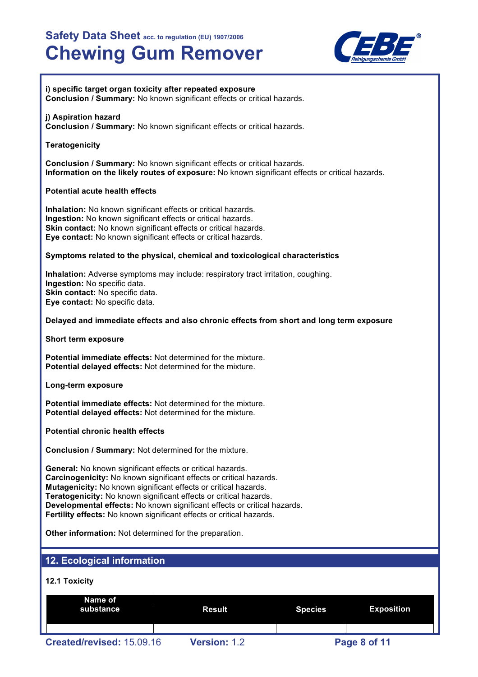

### **i) specific target organ toxicity after repeated exposure Conclusion / Summary:** No known significant effects or critical hazards.

## **j) Aspiration hazard**

**Conclusion / Summary:** No known significant effects or critical hazards.

## **Teratogenicity**

**Conclusion / Summary:** No known significant effects or critical hazards. **Information on the likely routes of exposure:** No known significant effects or critical hazards.

## **Potential acute health effects**

**Inhalation:** No known significant effects or critical hazards. **Ingestion:** No known significant effects or critical hazards. **Skin contact:** No known significant effects or critical hazards. **Eye contact:** No known significant effects or critical hazards.

## **Symptoms related to the physical, chemical and toxicological characteristics**

**Inhalation:** Adverse symptoms may include: respiratory tract irritation, coughing. **Ingestion:** No specific data. **Skin contact:** No specific data. **Eye contact:** No specific data.

## **Delayed and immediate effects and also chronic effects from short and long term exposure**

**Short term exposure**

**Potential immediate effects:** Not determined for the mixture. **Potential delayed effects:** Not determined for the mixture.

**Long-term exposure**

**Potential immediate effects:** Not determined for the mixture. **Potential delayed effects:** Not determined for the mixture.

**Potential chronic health effects**

**Conclusion / Summary:** Not determined for the mixture.

**General:** No known significant effects or critical hazards. **Carcinogenicity:** No known significant effects or critical hazards. **Mutagenicity:** No known significant effects or critical hazards. **Teratogenicity:** No known significant effects or critical hazards. **Developmental effects:** No known significant effects or critical hazards. **Fertility effects:** No known significant effects or critical hazards.

**Other information:** Not determined for the preparation.

## **12. Ecological information**

## **12.1 Toxicity**

| Name of<br>substance      | Result              | <b>Species</b> | <b>Exposition</b> |
|---------------------------|---------------------|----------------|-------------------|
| Created/revised: 15.09.16 | <b>Version: 1.2</b> |                | Page 8 of 11      |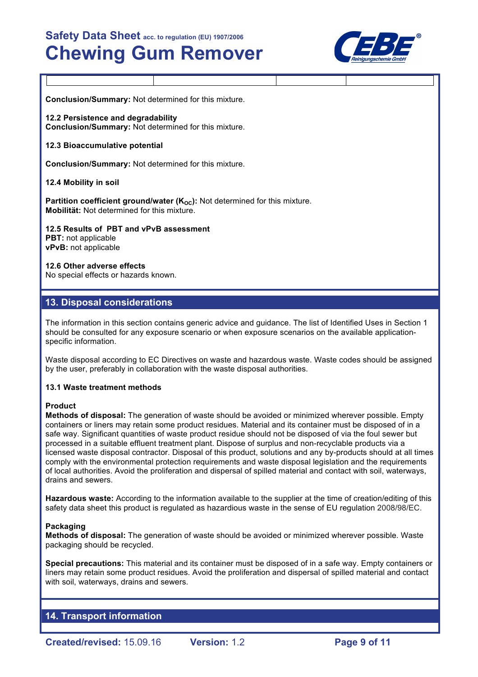

**Conclusion/Summary:** Not determined for this mixture.

**12.2 Persistence and degradability Conclusion/Summary:** Not determined for this mixture.

## **12.3 Bioaccumulative potential**

**Conclusion/Summary:** Not determined for this mixture.

## **12.4 Mobility in soil**

**Partition coefficient ground/water (K<sub>OC</sub>):** Not determined for this mixture. **Mobilität:** Not determined for this mixture.

**12.5 Results of PBT and vPvB assessment PBT:** not applicable **vPvB:** not applicable

### **12.6 Other adverse effects**

No special effects or hazards known.

## **13. Disposal considerations**

The information in this section contains generic advice and guidance. The list of Identified Uses in Section 1 should be consulted for any exposure scenario or when exposure scenarios on the available applicationspecific information.

Waste disposal according to EC Directives on waste and hazardous waste. Waste codes should be assigned by the user, preferably in collaboration with the waste disposal authorities.

### **13.1 Waste treatment methods**

### **Product**

**Methods of disposal:** The generation of waste should be avoided or minimized wherever possible. Empty containers or liners may retain some product residues. Material and its container must be disposed of in a safe way. Significant quantities of waste product residue should not be disposed of via the foul sewer but processed in a suitable effluent treatment plant. Dispose of surplus and non-recyclable products via a licensed waste disposal contractor. Disposal of this product, solutions and any by-products should at all times comply with the environmental protection requirements and waste disposal legislation and the requirements of local authorities. Avoid the proliferation and dispersal of spilled material and contact with soil, waterways, drains and sewers.

**Hazardous waste:** According to the information available to the supplier at the time of creation/editing of this safety data sheet this product is regulated as hazardious waste in the sense of EU regulation 2008/98/EC.

### **Packaging**

**Methods of disposal:** The generation of waste should be avoided or minimized wherever possible. Waste packaging should be recycled.

**Special precautions:** This material and its container must be disposed of in a safe way. Empty containers or liners may retain some product residues. Avoid the proliferation and dispersal of spilled material and contact with soil, waterways, drains and sewers.

## **14. Transport information**

**Created/revised:** 15.09.16 **Version:** 1.2 **Page 9 of 11**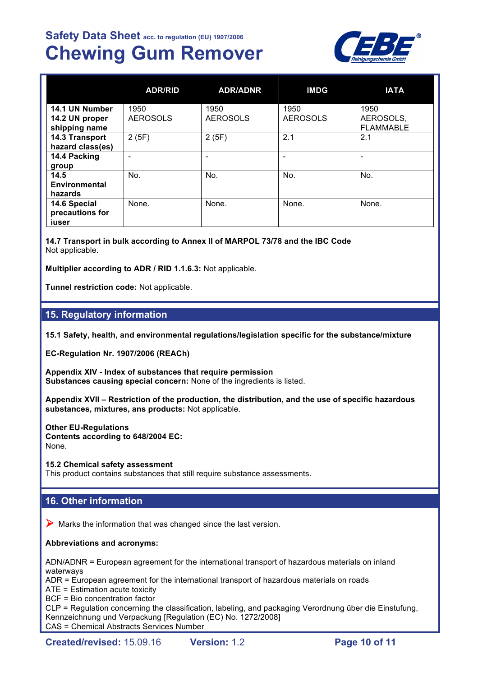

|                                          | <b>ADR/RID</b>  | <b>ADR/ADNR</b> | <b>IMDG</b>     | <b>IATA</b>                   |
|------------------------------------------|-----------------|-----------------|-----------------|-------------------------------|
| 14.1 UN Number                           | 1950            | 1950            | 1950            | 1950                          |
| 14.2 UN proper<br>shipping name          | <b>AEROSOLS</b> | <b>AEROSOLS</b> | <b>AEROSOLS</b> | AEROSOLS,<br><b>FLAMMABLE</b> |
| 14.3 Transport<br>hazard class(es)       | 2(5F)           | 2(5F)           | 2.1             | 2.1                           |
| 14.4 Packing<br>group                    |                 |                 |                 |                               |
| 14.5<br>Environmental<br>hazards         | No.             | No.             | No.             | No.                           |
| 14.6 Special<br>precautions for<br>iuser | None.           | None.           | None.           | None.                         |

**14.7 Transport in bulk according to Annex II of MARPOL 73/78 and the IBC Code** Not applicable.

**Multiplier according to ADR / RID 1.1.6.3:** Not applicable.

**Tunnel restriction code:** Not applicable.

## **15. Regulatory information**

**15.1 Safety, health, and environmental regulations/legislation specific for the substance/mixture**

**EC-Regulation Nr. 1907/2006 (REACh)**

**Appendix XIV - Index of substances that require permission Substances causing special concern:** None of the ingredients is listed.

**Appendix XVII – Restriction of the production, the distribution, and the use of specific hazardous substances, mixtures, ans products:** Not applicable.

**Other EU-Regulations Contents according to 648/2004 EC:** None.

**15.2 Chemical safety assessment**

This product contains substances that still require substance assessments.

## **16. Other information**

 $\triangleright$  Marks the information that was changed since the last version.

## **Abbreviations and acronyms:**

ADN/ADNR = European agreement for the international transport of hazardous materials on inland waterways

ADR = European agreement for the international transport of hazardous materials on roads

ATE = Estimation acute toxicity

BCF = Bio concentration factor

CLP = Regulation concerning the classification, labeling, and packaging Verordnung über die Einstufung, Kennzeichnung und Verpackung [Regulation (EC) No. 1272/2008]

CAS = Chemical Abstracts Services Number